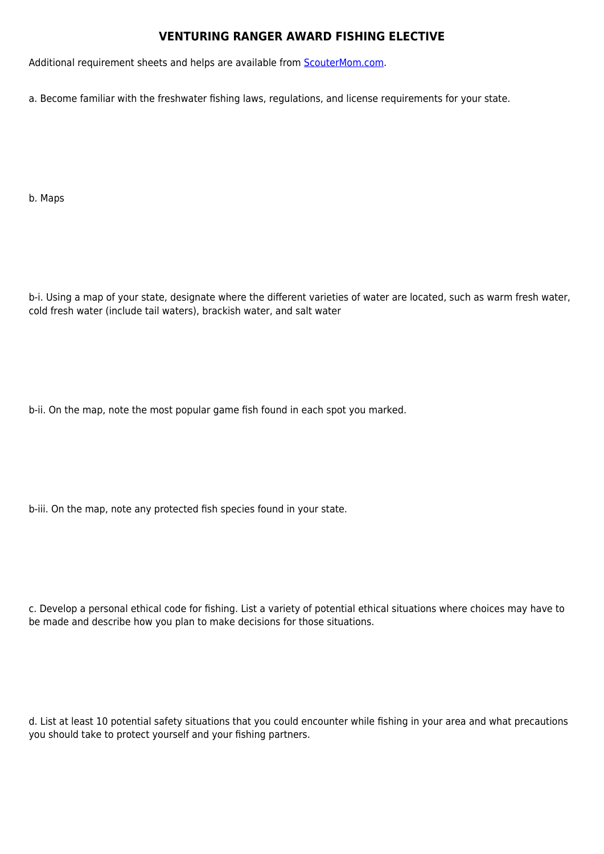## **VENTURING RANGER AWARD FISHING ELECTIVE**

Additional requirement sheets and helps are available from [ScouterMom.com](http://scoutermom.com).

a. Become familiar with the freshwater fishing laws, regulations, and license requirements for your state.

b. Maps

b-i. Using a map of your state, designate where the different varieties of water are located, such as warm fresh water, cold fresh water (include tail waters), brackish water, and salt water

b-ii. On the map, note the most popular game fish found in each spot you marked.

b-iii. On the map, note any protected fish species found in your state.

c. Develop a personal ethical code for fishing. List a variety of potential ethical situations where choices may have to be made and describe how you plan to make decisions for those situations.

d. List at least 10 potential safety situations that you could encounter while fishing in your area and what precautions you should take to protect yourself and your fishing partners.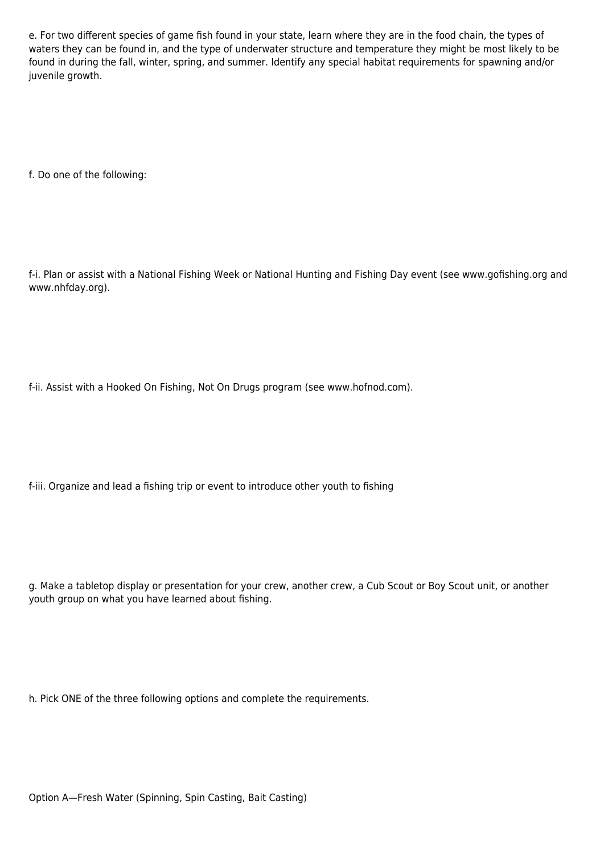e. For two different species of game fish found in your state, learn where they are in the food chain, the types of waters they can be found in, and the type of underwater structure and temperature they might be most likely to be found in during the fall, winter, spring, and summer. Identify any special habitat requirements for spawning and/or juvenile growth.

f. Do one of the following:

f-i. Plan or assist with a National Fishing Week or National Hunting and Fishing Day event (see www.gofishing.org and www.nhfday.org).

f-ii. Assist with a Hooked On Fishing, Not On Drugs program (see www.hofnod.com).

f-iii. Organize and lead a fishing trip or event to introduce other youth to fishing

g. Make a tabletop display or presentation for your crew, another crew, a Cub Scout or Boy Scout unit, or another youth group on what you have learned about fishing.

h. Pick ONE of the three following options and complete the requirements.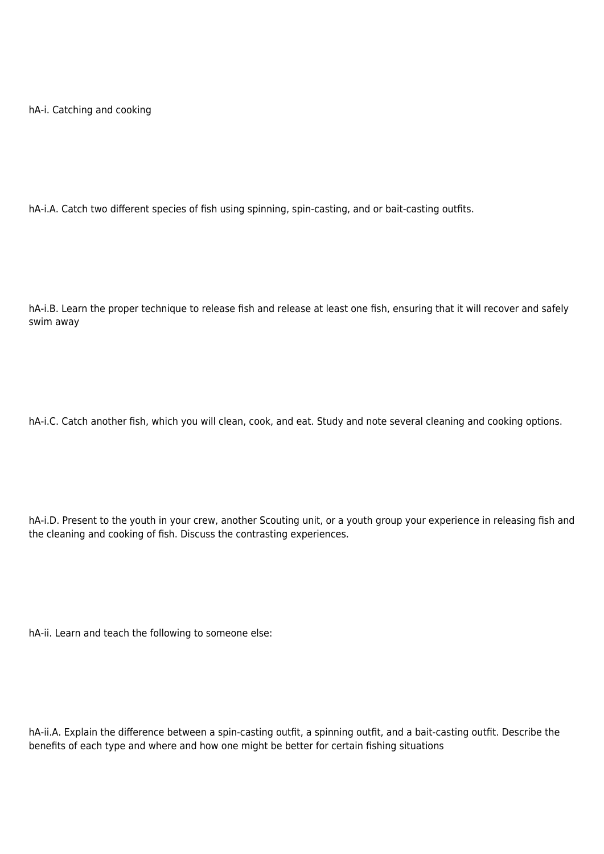hA-i. Catching and cooking

hA-i.A. Catch two different species of fish using spinning, spin-casting, and or bait-casting outfits.

hA-i.B. Learn the proper technique to release fish and release at least one fish, ensuring that it will recover and safely swim away

hA-i.C. Catch another fish, which you will clean, cook, and eat. Study and note several cleaning and cooking options.

hA-i.D. Present to the youth in your crew, another Scouting unit, or a youth group your experience in releasing fish and the cleaning and cooking of fish. Discuss the contrasting experiences.

hA-ii. Learn and teach the following to someone else:

hA-ii.A. Explain the difference between a spin-casting outfit, a spinning outfit, and a bait-casting outfit. Describe the benefits of each type and where and how one might be better for certain fishing situations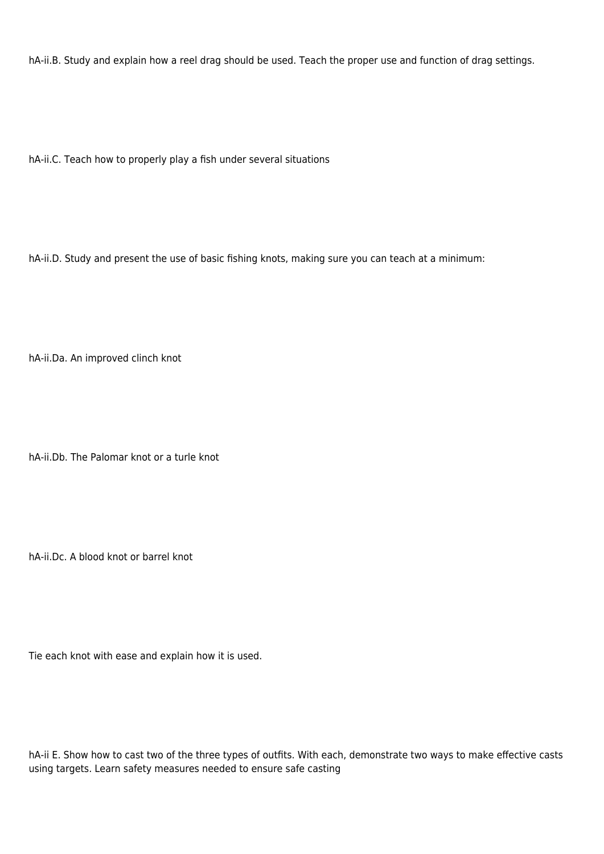hA-ii.B. Study and explain how a reel drag should be used. Teach the proper use and function of drag settings.

hA-ii.C. Teach how to properly play a fish under several situations

hA-ii.D. Study and present the use of basic fishing knots, making sure you can teach at a minimum:

hA-ii.Da. An improved clinch knot

hA-ii.Db. The Palomar knot or a turle knot

hA-ii.Dc. A blood knot or barrel knot

Tie each knot with ease and explain how it is used.

hA-ii E. Show how to cast two of the three types of outfits. With each, demonstrate two ways to make effective casts using targets. Learn safety measures needed to ensure safe casting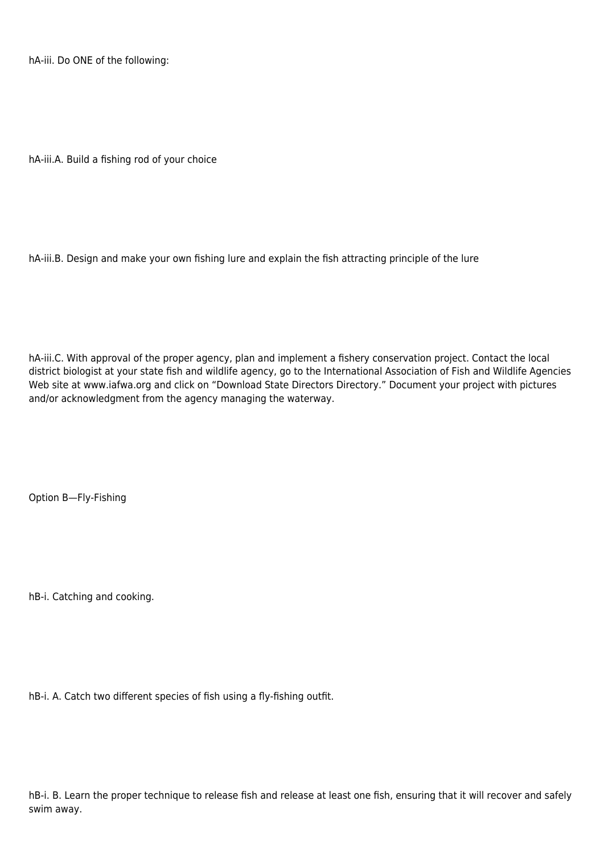hA-iii. Do ONE of the following:

hA-iii.A. Build a fishing rod of your choice

hA-iii.B. Design and make your own fishing lure and explain the fish attracting principle of the lure

hA-iii.C. With approval of the proper agency, plan and implement a fishery conservation project. Contact the local district biologist at your state fish and wildlife agency, go to the International Association of Fish and Wildlife Agencies Web site at www.iafwa.org and click on "Download State Directors Directory." Document your project with pictures and/or acknowledgment from the agency managing the waterway.

Option B—Fly-Fishing

hB-i. Catching and cooking.

hB-i. A. Catch two different species of fish using a fly-fishing outfit.

hB-i. B. Learn the proper technique to release fish and release at least one fish, ensuring that it will recover and safely swim away.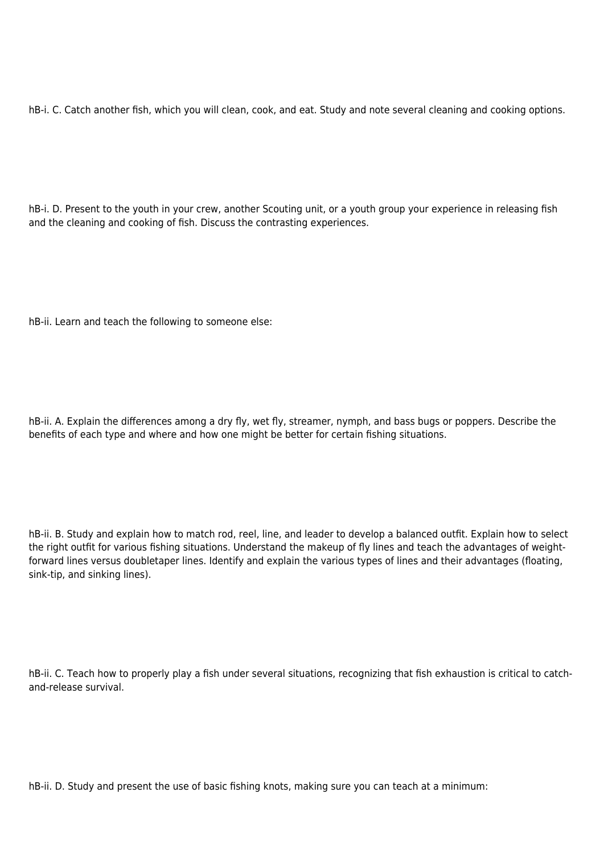hB-i. C. Catch another fish, which you will clean, cook, and eat. Study and note several cleaning and cooking options.

hB-i. D. Present to the youth in your crew, another Scouting unit, or a youth group your experience in releasing fish and the cleaning and cooking of fish. Discuss the contrasting experiences.

hB-ii. Learn and teach the following to someone else:

hB-ii. A. Explain the differences among a dry fly, wet fly, streamer, nymph, and bass bugs or poppers. Describe the benefits of each type and where and how one might be better for certain fishing situations.

hB-ii. B. Study and explain how to match rod, reel, line, and leader to develop a balanced outfit. Explain how to select the right outfit for various fishing situations. Understand the makeup of fly lines and teach the advantages of weightforward lines versus doubletaper lines. Identify and explain the various types of lines and their advantages (floating, sink-tip, and sinking lines).

hB-ii. C. Teach how to properly play a fish under several situations, recognizing that fish exhaustion is critical to catchand-release survival.

hB-ii. D. Study and present the use of basic fishing knots, making sure you can teach at a minimum: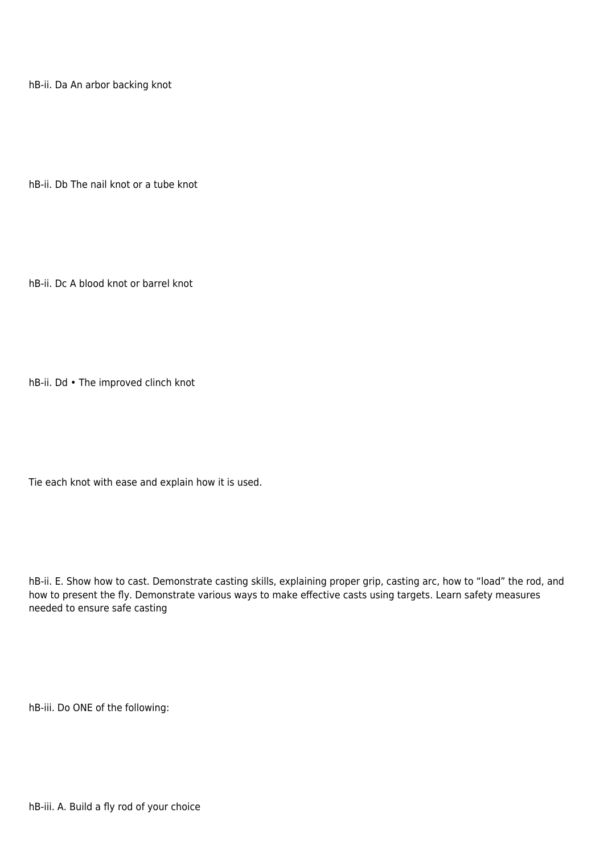hB-ii. Da An arbor backing knot

hB-ii. Db The nail knot or a tube knot

hB-ii. Dc A blood knot or barrel knot

hB-ii. Dd • The improved clinch knot

Tie each knot with ease and explain how it is used.

hB-ii. E. Show how to cast. Demonstrate casting skills, explaining proper grip, casting arc, how to "load" the rod, and how to present the fly. Demonstrate various ways to make effective casts using targets. Learn safety measures needed to ensure safe casting

hB-iii. Do ONE of the following: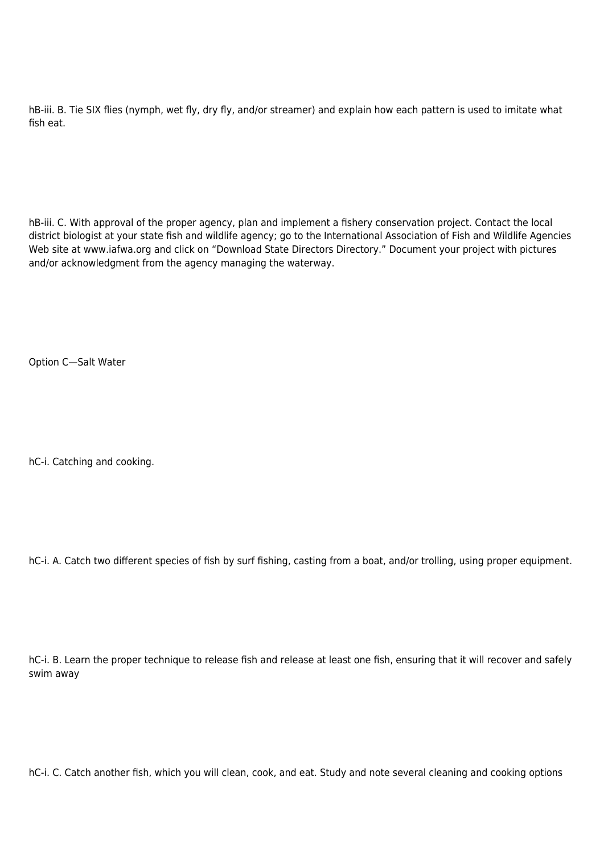hB-iii. B. Tie SIX flies (nymph, wet fly, dry fly, and/or streamer) and explain how each pattern is used to imitate what fish eat.

hB-iii. C. With approval of the proper agency, plan and implement a fishery conservation project. Contact the local district biologist at your state fish and wildlife agency; go to the International Association of Fish and Wildlife Agencies Web site at www.iafwa.org and click on "Download State Directors Directory." Document your project with pictures and/or acknowledgment from the agency managing the waterway.

Option C—Salt Water

hC-i. Catching and cooking.

hC-i. A. Catch two different species of fish by surf fishing, casting from a boat, and/or trolling, using proper equipment.

hC-i. B. Learn the proper technique to release fish and release at least one fish, ensuring that it will recover and safely swim away

hC-i. C. Catch another fish, which you will clean, cook, and eat. Study and note several cleaning and cooking options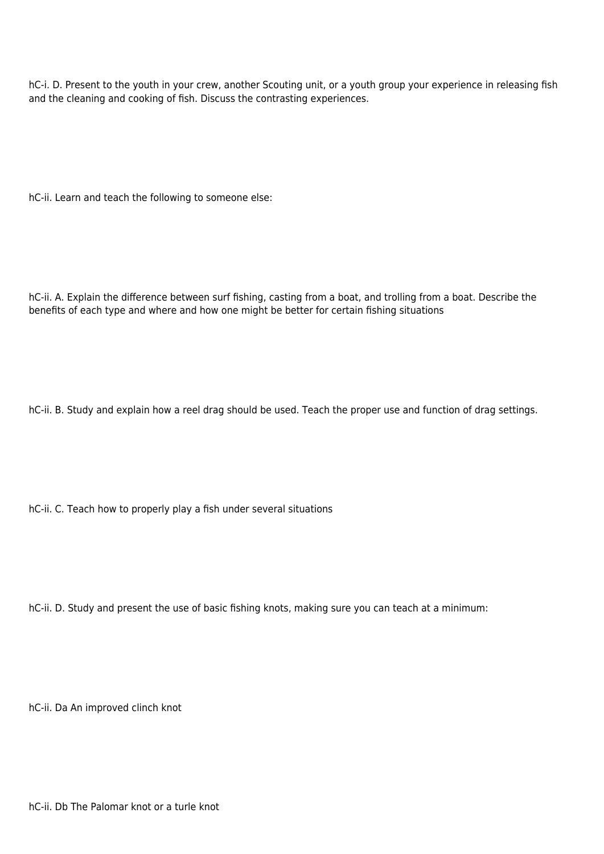hC-i. D. Present to the youth in your crew, another Scouting unit, or a youth group your experience in releasing fish and the cleaning and cooking of fish. Discuss the contrasting experiences.

hC-ii. Learn and teach the following to someone else:

hC-ii. A. Explain the difference between surf fishing, casting from a boat, and trolling from a boat. Describe the benefits of each type and where and how one might be better for certain fishing situations

hC-ii. B. Study and explain how a reel drag should be used. Teach the proper use and function of drag settings.

hC-ii. C. Teach how to properly play a fish under several situations

hC-ii. D. Study and present the use of basic fishing knots, making sure you can teach at a minimum:

hC-ii. Da An improved clinch knot